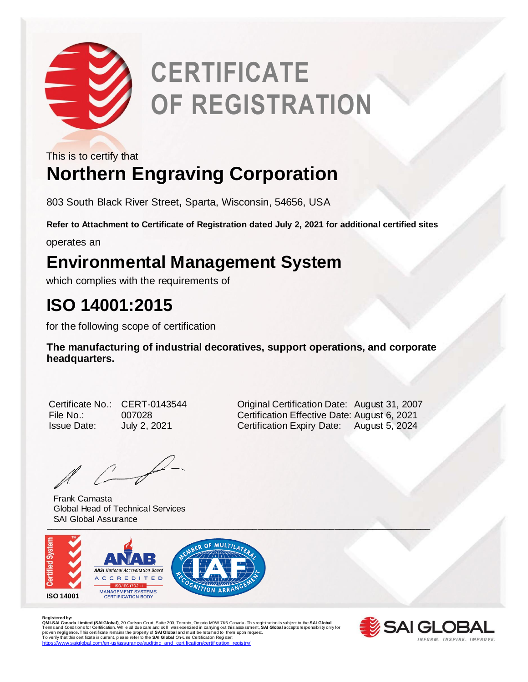

# **CERTIFICATE OF REGISTRATION**

This is to certify that

## **Northern Engraving Corporation**

803 South Black River Street**,** Sparta, Wisconsin, 54656, USA

**Refer to Attachment to Certificate of Registration dated July 2, 2021 for additional certified sites**

operates an

#### **Environmental Management System**

which complies with the requirements of

### **ISO 14001:2015**

for the following scope of certification

**The manufacturing of industrial decoratives, support operations, and corporate headquarters.** 

| Certificate No     |
|--------------------|
| File No.:          |
| <b>Issue Date:</b> |

 $l \leftarrow$ 

Frank Camasta Global Head of Technical Services SAI Global Assurance



R**egistered by:**<br>Q**MI-SAI Canada Limited (SAI Global)**, 20 Carlson Court, Suite 200, Toronto, Ontario M9W 7K6 Canada. This registration is subject to the **SAI Global**<br>Terms and Conditions for Certification. While all due c https://www.saiglobal.com/en-us/assurance/auditing\_and\_certification/certification\_registry



CERT-0143544 **Original Certification Date: August 31, 2007** File No.: 007028 Certification Effective Date: August 6, 2021 July 2, 2021 **Certification Expiry Date:** August 5, 2024